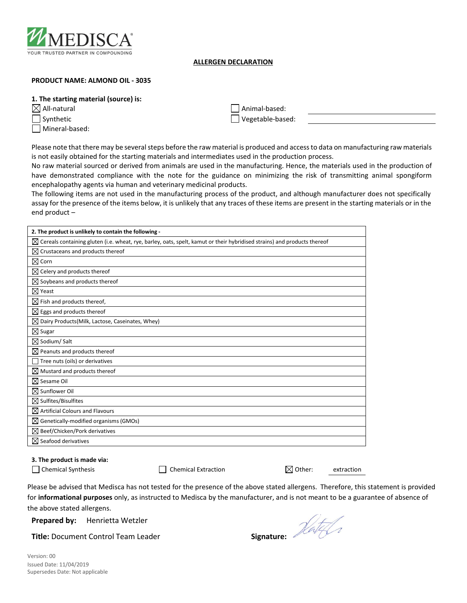

## **ALLERGEN DECLARATION**

## **PRODUCT NAME: ALMOND OIL - 3035**

## **1. The starting material (source) is:**

 $\boxtimes$  All-natural  $\Box$  Animal-based:

Mineral-based:

Synthetic Vegetable-based:

Please note that there may be several steps before the raw material is produced and access to data on manufacturing raw materials is not easily obtained for the starting materials and intermediates used in the production process.

No raw material sourced or derived from animals are used in the manufacturing. Hence, the materials used in the production of have demonstrated compliance with the note for the guidance on minimizing the risk of transmitting animal spongiform encephalopathy agents via human and veterinary medicinal products.

The following items are not used in the manufacturing process of the product, and although manufacturer does not specifically assay for the presence of the items below, it is unlikely that any traces of these items are present in the starting materials or in the end product –

| 2. The product is unlikely to contain the following -                                                                                |
|--------------------------------------------------------------------------------------------------------------------------------------|
| $\boxtimes$ Cereals containing gluten (i.e. wheat, rye, barley, oats, spelt, kamut or their hybridised strains) and products thereof |
| $\boxtimes$ Crustaceans and products thereof                                                                                         |
| $\boxtimes$ Corn                                                                                                                     |
| $\boxtimes$ Celery and products thereof                                                                                              |
| $\boxtimes$ Soybeans and products thereof                                                                                            |
| $\boxtimes$ Yeast                                                                                                                    |
| $\boxtimes$ Fish and products thereof,                                                                                               |
| $\boxtimes$ Eggs and products thereof                                                                                                |
| $\boxtimes$ Dairy Products (Milk, Lactose, Caseinates, Whey)                                                                         |
| $\boxtimes$ Sugar                                                                                                                    |
| $\boxtimes$ Sodium/ Salt                                                                                                             |
| $\boxtimes$ Peanuts and products thereof                                                                                             |
| Tree nuts (oils) or derivatives                                                                                                      |
| $\boxtimes$ Mustard and products thereof                                                                                             |
| $\boxtimes$ Sesame Oil                                                                                                               |
| $\boxtimes$ Sunflower Oil                                                                                                            |
| $\boxtimes$ Sulfites/Bisulfites                                                                                                      |
| $\boxtimes$ Artificial Colours and Flavours                                                                                          |
| $\boxtimes$ Genetically-modified organisms (GMOs)                                                                                    |
| $\boxtimes$ Beef/Chicken/Pork derivatives                                                                                            |
| $\boxtimes$ Seafood derivatives                                                                                                      |

**3. The product is made via:**

Chemical Synthesis Chemical Extraction Chemical Extraction Chemical Extraction Chemical Extraction

Hatel

Please be advised that Medisca has not tested for the presence of the above stated allergens. Therefore, this statement is provided for **informational purposes** only, as instructed to Medisca by the manufacturer, and is not meant to be a guarantee of absence of the above stated allergens.

**Prepared by:** Henrietta Wetzler

| <b>Title: Document Control Team Leader</b> | Signature: |
|--------------------------------------------|------------|
|--------------------------------------------|------------|

|  | Signature: |  |
|--|------------|--|

Version: 00 Issued Date: 11/04/2019 Supersedes Date: Not applicable